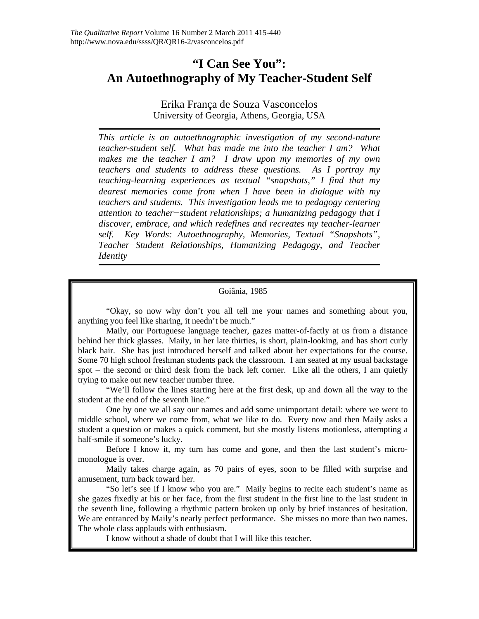# **"I Can See You": An Autoethnography of My Teacher-Student Self**

Erika França de Souza Vasconcelos University of Georgia, Athens, Georgia, USA

*This article is an autoethnographic investigation of my second-nature teacher-student self. What has made me into the teacher I am? What makes me the teacher I am? I draw upon my memories of my own teachers and students to address these questions. As I portray my teaching-learning experiences as textual "snapshots," I find that my dearest memories come from when I have been in dialogue with my teachers and students. This investigation leads me to pedagogy centering attention to teacher−student relationships; a humanizing pedagogy that I discover, embrace, and which redefines and recreates my teacher-learner self. Key Words: Autoethnography, Memories, Textual "Snapshots", Teacher−Student Relationships, Humanizing Pedagogy, and Teacher Identity*

Goiânia, 1985

"Okay, so now why don't you all tell me your names and something about you, anything you feel like sharing, it needn't be much."

Maily, our Portuguese language teacher, gazes matter-of-factly at us from a distance behind her thick glasses. Maily, in her late thirties, is short, plain-looking, and has short curly black hair. She has just introduced herself and talked about her expectations for the course. Some 70 high school freshman students pack the classroom. I am seated at my usual backstage spot – the second or third desk from the back left corner. Like all the others, I am quietly trying to make out new teacher number three.

"We'll follow the lines starting here at the first desk, up and down all the way to the student at the end of the seventh line."

One by one we all say our names and add some unimportant detail: where we went to middle school, where we come from, what we like to do. Every now and then Maily asks a student a question or makes a quick comment, but she mostly listens motionless, attempting a half-smile if someone's lucky.

Before I know it, my turn has come and gone, and then the last student's micromonologue is over.

Maily takes charge again, as 70 pairs of eyes, soon to be filled with surprise and amusement, turn back toward her.

"So let's see if I know who you are." Maily begins to recite each student's name as she gazes fixedly at his or her face, from the first student in the first line to the last student in the seventh line, following a rhythmic pattern broken up only by brief instances of hesitation. We are entranced by Maily's nearly perfect performance. She misses no more than two names. The whole class applauds with enthusiasm.

I know without a shade of doubt that I will like this teacher.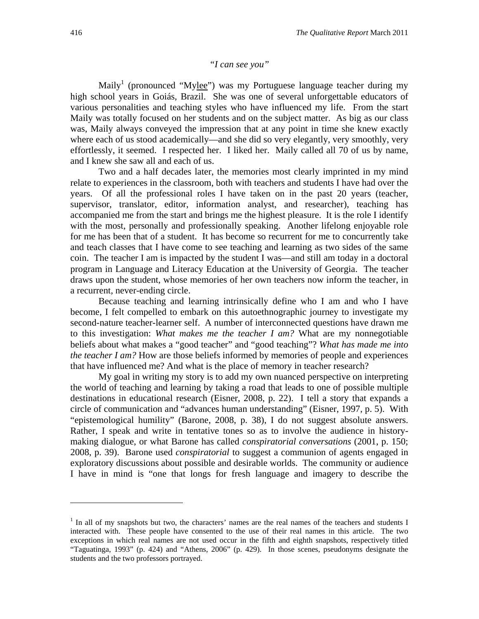# *"I can see you"*

Maily<sup>1</sup> (pronounced "Mylee") was my Portuguese language teacher during my high school years in Goiás, Brazil. She was one of several unforgettable educators of various personalities and teaching styles who have influenced my life. From the start Maily was totally focused on her students and on the subject matter. As big as our class was, Maily always conveyed the impression that at any point in time she knew exactly where each of us stood academically—and she did so very elegantly, very smoothly, very effortlessly, it seemed. I respected her. I liked her. Maily called all 70 of us by name, and I knew she saw all and each of us.

Two and a half decades later, the memories most clearly imprinted in my mind relate to experiences in the classroom, both with teachers and students I have had over the years. Of all the professional roles I have taken on in the past 20 years (teacher, supervisor, translator, editor, information analyst, and researcher), teaching has accompanied me from the start and brings me the highest pleasure. It is the role I identify with the most, personally and professionally speaking. Another lifelong enjoyable role for me has been that of a student. It has become so recurrent for me to concurrently take and teach classes that I have come to see teaching and learning as two sides of the same coin. The teacher I am is impacted by the student I was—and still am today in a doctoral program in Language and Literacy Education at the University of Georgia. The teacher draws upon the student, whose memories of her own teachers now inform the teacher, in a recurrent, never-ending circle.

Because teaching and learning intrinsically define who I am and who I have become, I felt compelled to embark on this autoethnographic journey to investigate my second-nature teacher-learner self. A number of interconnected questions have drawn me to this investigation: *What makes me the teacher I am?* What are my nonnegotiable beliefs about what makes a "good teacher" and "good teaching"? *What has made me into the teacher I am?* How are those beliefs informed by memories of people and experiences that have influenced me? And what is the place of memory in teacher research?

My goal in writing my story is to add my own nuanced perspective on interpreting the world of teaching and learning by taking a road that leads to one of possible multiple destinations in educational research (Eisner, 2008, p. 22). I tell a story that expands a circle of communication and "advances human understanding" (Eisner, 1997, p. 5). With "epistemological humility" (Barone, 2008, p. 38), I do not suggest absolute answers. Rather, I speak and write in tentative tones so as to involve the audience in historymaking dialogue, or what Barone has called *conspiratorial conversations* (2001, p. 150; 2008, p. 39). Barone used *conspiratorial* to suggest a communion of agents engaged in exploratory discussions about possible and desirable worlds. The community or audience I have in mind is "one that longs for fresh language and imagery to describe the

 $\overline{a}$ 

<sup>&</sup>lt;sup>1</sup> In all of my snapshots but two, the characters' names are the real names of the teachers and students I interacted with. These people have consented to the use of their real names in this article. The two exceptions in which real names are not used occur in the fifth and eighth snapshots, respectively titled "Taguatinga, 1993" (p. 424) and "Athens, 2006" (p. 429). In those scenes, pseudonyms designate the students and the two professors portrayed.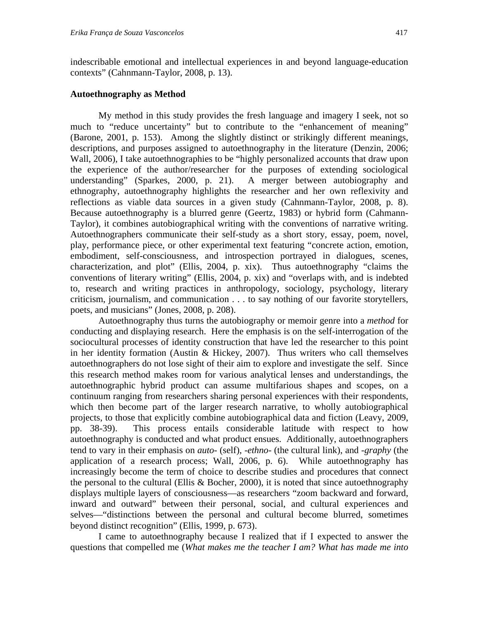indescribable emotional and intellectual experiences in and beyond language-education contexts" (Cahnmann-Taylor, 2008, p. 13).

# **Autoethnography as Method**

My method in this study provides the fresh language and imagery I seek, not so much to "reduce uncertainty" but to contribute to the "enhancement of meaning" (Barone, 2001, p. 153). Among the slightly distinct or strikingly different meanings, descriptions, and purposes assigned to autoethnography in the literature (Denzin, 2006; Wall, 2006), I take autoethnographies to be "highly personalized accounts that draw upon the experience of the author/researcher for the purposes of extending sociological understanding" (Sparkes, 2000, p. 21). A merger between autobiography and ethnography, autoethnography highlights the researcher and her own reflexivity and reflections as viable data sources in a given study (Cahnmann-Taylor, 2008, p. 8). Because autoethnography is a blurred genre (Geertz, 1983) or hybrid form (Cahmann-Taylor), it combines autobiographical writing with the conventions of narrative writing. Autoethnographers communicate their self-study as a short story, essay, poem, novel, play, performance piece, or other experimental text featuring "concrete action, emotion, embodiment, self-consciousness, and introspection portrayed in dialogues, scenes, characterization, and plot" (Ellis, 2004, p. xix). Thus autoethnography "claims the conventions of literary writing" (Ellis, 2004, p. xix) and "overlaps with, and is indebted to, research and writing practices in anthropology, sociology, psychology, literary criticism, journalism, and communication . . . to say nothing of our favorite storytellers, poets, and musicians" (Jones, 2008, p. 208).

Autoethnography thus turns the autobiography or memoir genre into a *method* for conducting and displaying research. Here the emphasis is on the self-interrogation of the sociocultural processes of identity construction that have led the researcher to this point in her identity formation (Austin & Hickey, 2007). Thus writers who call themselves autoethnographers do not lose sight of their aim to explore and investigate the self. Since this research method makes room for various analytical lenses and understandings, the autoethnographic hybrid product can assume multifarious shapes and scopes, on a continuum ranging from researchers sharing personal experiences with their respondents, which then become part of the larger research narrative, to wholly autobiographical projects, to those that explicitly combine autobiographical data and fiction (Leavy, 2009, pp. 38-39). This process entails considerable latitude with respect to how autoethnography is conducted and what product ensues. Additionally, autoethnographers tend to vary in their emphasis on *auto-* (self), *-ethno-* (the cultural link), and *-graphy* (the application of a research process; Wall, 2006, p. 6). While autoethnography has increasingly become the term of choice to describe studies and procedures that connect the personal to the cultural (Ellis  $& Bocher, 2000$ ), it is noted that since autoethnography displays multiple layers of consciousness—as researchers "zoom backward and forward, inward and outward" between their personal, social, and cultural experiences and selves—"distinctions between the personal and cultural become blurred, sometimes beyond distinct recognition" (Ellis, 1999, p. 673).

I came to autoethnography because I realized that if I expected to answer the questions that compelled me (*What makes me the teacher I am? What has made me into*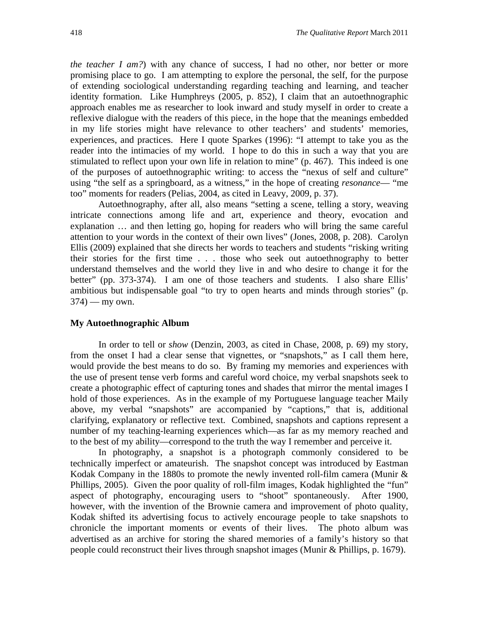*the teacher I am?*) with any chance of success, I had no other, nor better or more promising place to go. I am attempting to explore the personal, the self, for the purpose of extending sociological understanding regarding teaching and learning, and teacher identity formation. Like Humphreys (2005, p. 852), I claim that an autoethnographic approach enables me as researcher to look inward and study myself in order to create a reflexive dialogue with the readers of this piece, in the hope that the meanings embedded in my life stories might have relevance to other teachers' and students' memories, experiences, and practices. Here I quote Sparkes (1996): "I attempt to take you as the reader into the intimacies of my world. I hope to do this in such a way that you are stimulated to reflect upon your own life in relation to mine" (p. 467). This indeed is one of the purposes of autoethnographic writing: to access the "nexus of self and culture" using "the self as a springboard, as a witness," in the hope of creating *resonance*— "me too" moments for readers (Pelias, 2004, as cited in Leavy, 2009, p. 37).

Autoethnography, after all, also means "setting a scene, telling a story, weaving intricate connections among life and art, experience and theory, evocation and explanation … and then letting go, hoping for readers who will bring the same careful attention to your words in the context of their own lives" (Jones, 2008, p. 208). Carolyn Ellis (2009) explained that she directs her words to teachers and students "risking writing their stories for the first time . . . those who seek out autoethnography to better understand themselves and the world they live in and who desire to change it for the better" (pp. 373-374). I am one of those teachers and students. I also share Ellis' ambitious but indispensable goal "to try to open hearts and minds through stories" (p.  $374$ ) — my own.

### **My Autoethnographic Album**

In order to tell or *show* (Denzin, 2003, as cited in Chase, 2008, p. 69) my story, from the onset I had a clear sense that vignettes, or "snapshots," as I call them here, would provide the best means to do so. By framing my memories and experiences with the use of present tense verb forms and careful word choice, my verbal snapshots seek to create a photographic effect of capturing tones and shades that mirror the mental images I hold of those experiences. As in the example of my Portuguese language teacher Maily above, my verbal "snapshots" are accompanied by "captions," that is, additional clarifying, explanatory or reflective text. Combined, snapshots and captions represent a number of my teaching-learning experiences which—as far as my memory reached and to the best of my ability—correspond to the truth the way I remember and perceive it.

In photography, a snapshot is a photograph commonly considered to be technically imperfect or amateurish. The snapshot concept was introduced by Eastman Kodak Company in the 1880s to promote the newly invented roll-film camera (Munir & Phillips, 2005). Given the poor quality of roll-film images, Kodak highlighted the "fun" aspect of photography, encouraging users to "shoot" spontaneously. After 1900, however, with the invention of the Brownie camera and improvement of photo quality, Kodak shifted its advertising focus to actively encourage people to take snapshots to chronicle the important moments or events of their lives. The photo album was advertised as an archive for storing the shared memories of a family's history so that people could reconstruct their lives through snapshot images (Munir & Phillips, p. 1679).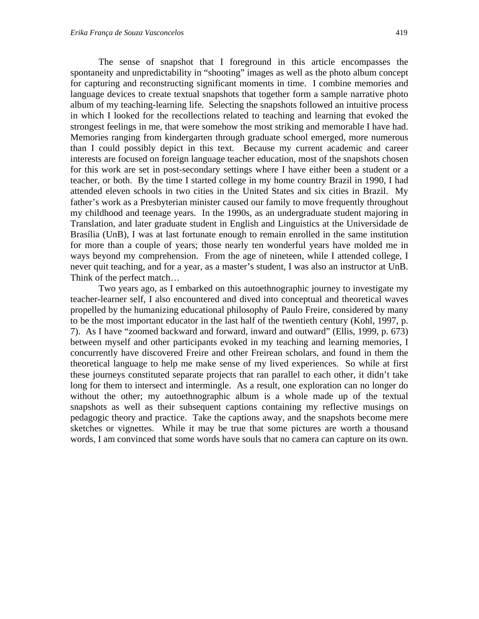The sense of snapshot that I foreground in this article encompasses the spontaneity and unpredictability in "shooting" images as well as the photo album concept for capturing and reconstructing significant moments in time. I combine memories and language devices to create textual snapshots that together form a sample narrative photo album of my teaching-learning life. Selecting the snapshots followed an intuitive process in which I looked for the recollections related to teaching and learning that evoked the strongest feelings in me, that were somehow the most striking and memorable I have had. Memories ranging from kindergarten through graduate school emerged, more numerous than I could possibly depict in this text. Because my current academic and career interests are focused on foreign language teacher education, most of the snapshots chosen for this work are set in post-secondary settings where I have either been a student or a teacher, or both. By the time I started college in my home country Brazil in 1990, I had attended eleven schools in two cities in the United States and six cities in Brazil. My father's work as a Presbyterian minister caused our family to move frequently throughout my childhood and teenage years. In the 1990s, as an undergraduate student majoring in Translation, and later graduate student in English and Linguistics at the Universidade de Brasília (UnB), I was at last fortunate enough to remain enrolled in the same institution for more than a couple of years; those nearly ten wonderful years have molded me in ways beyond my comprehension. From the age of nineteen, while I attended college, I never quit teaching, and for a year, as a master's student, I was also an instructor at UnB. Think of the perfect match…

Two years ago, as I embarked on this autoethnographic journey to investigate my teacher-learner self, I also encountered and dived into conceptual and theoretical waves propelled by the humanizing educational philosophy of Paulo Freire, considered by many to be the most important educator in the last half of the twentieth century (Kohl, 1997, p. 7). As I have "zoomed backward and forward, inward and outward" (Ellis, 1999, p. 673) between myself and other participants evoked in my teaching and learning memories, I concurrently have discovered Freire and other Freirean scholars, and found in them the theoretical language to help me make sense of my lived experiences. So while at first these journeys constituted separate projects that ran parallel to each other, it didn't take long for them to intersect and intermingle. As a result, one exploration can no longer do without the other; my autoethnographic album is a whole made up of the textual snapshots as well as their subsequent captions containing my reflective musings on pedagogic theory and practice. Take the captions away, and the snapshots become mere sketches or vignettes. While it may be true that some pictures are worth a thousand words, I am convinced that some words have souls that no camera can capture on its own.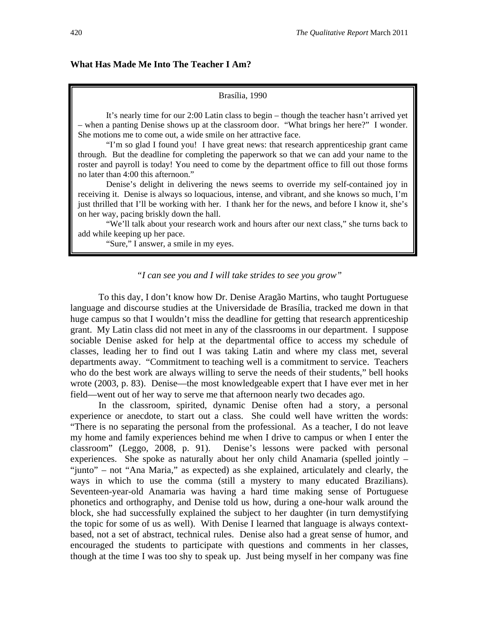# **What Has Made Me Into The Teacher I Am?**

#### Brasília, 1990

It's nearly time for our 2:00 Latin class to begin – though the teacher hasn't arrived yet – when a panting Denise shows up at the classroom door. "What brings her here?" I wonder. She motions me to come out, a wide smile on her attractive face.

"I'm so glad I found you! I have great news: that research apprenticeship grant came through. But the deadline for completing the paperwork so that we can add your name to the roster and payroll is today! You need to come by the department office to fill out those forms no later than 4:00 this afternoon."

Denise's delight in delivering the news seems to override my self-contained joy in receiving it. Denise is always so loquacious, intense, and vibrant, and she knows so much, I'm just thrilled that I'll be working with her. I thank her for the news, and before I know it, she's on her way, pacing briskly down the hall.

"We'll talk about your research work and hours after our next class," she turns back to add while keeping up her pace.

"Sure," I answer, a smile in my eyes.

# *"I can see you and I will take strides to see you grow"*

To this day, I don't know how Dr. Denise Aragão Martins, who taught Portuguese language and discourse studies at the Universidade de Brasília, tracked me down in that huge campus so that I wouldn't miss the deadline for getting that research apprenticeship grant. My Latin class did not meet in any of the classrooms in our department. I suppose sociable Denise asked for help at the departmental office to access my schedule of classes, leading her to find out I was taking Latin and where my class met, several departments away. "Commitment to teaching well is a commitment to service. Teachers who do the best work are always willing to serve the needs of their students," bell hooks wrote (2003, p. 83). Denise—the most knowledgeable expert that I have ever met in her field—went out of her way to serve me that afternoon nearly two decades ago.

In the classroom, spirited, dynamic Denise often had a story, a personal experience or anecdote, to start out a class. She could well have written the words: "There is no separating the personal from the professional. As a teacher, I do not leave my home and family experiences behind me when I drive to campus or when I enter the classroom" (Leggo, 2008, p. 91). Denise's lessons were packed with personal experiences. She spoke as naturally about her only child Anamaria (spelled jointly – "junto" – not "Ana Maria," as expected) as she explained, articulately and clearly, the ways in which to use the comma (still a mystery to many educated Brazilians). Seventeen-year-old Anamaria was having a hard time making sense of Portuguese phonetics and orthography, and Denise told us how, during a one-hour walk around the block, she had successfully explained the subject to her daughter (in turn demystifying the topic for some of us as well). With Denise I learned that language is always contextbased, not a set of abstract, technical rules. Denise also had a great sense of humor, and encouraged the students to participate with questions and comments in her classes, though at the time I was too shy to speak up. Just being myself in her company was fine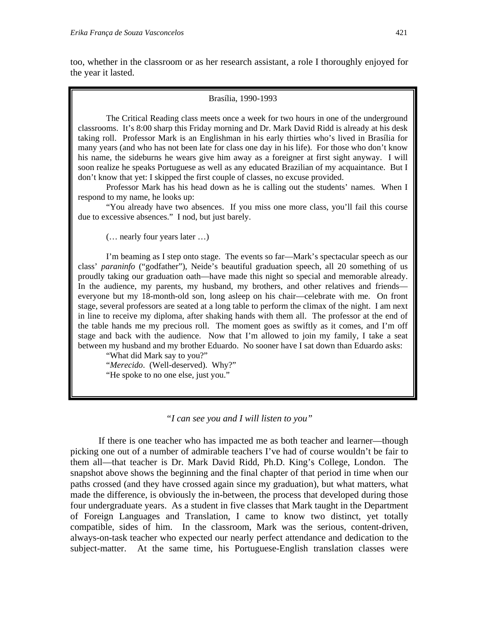too, whether in the classroom or as her research assistant, a role I thoroughly enjoyed for the year it lasted.

#### Brasília, 1990-1993

The Critical Reading class meets once a week for two hours in one of the underground classrooms. It's 8:00 sharp this Friday morning and Dr. Mark David Ridd is already at his desk taking roll. Professor Mark is an Englishman in his early thirties who's lived in Brasília for many years (and who has not been late for class one day in his life). For those who don't know his name, the sideburns he wears give him away as a foreigner at first sight anyway. I will soon realize he speaks Portuguese as well as any educated Brazilian of my acquaintance. But I don't know that yet: I skipped the first couple of classes, no excuse provided.

Professor Mark has his head down as he is calling out the students' names. When I respond to my name, he looks up:

"You already have two absences. If you miss one more class, you'll fail this course due to excessive absences." I nod, but just barely.

(… nearly four years later …)

I'm beaming as I step onto stage. The events so far—Mark's spectacular speech as our class' *paraninfo* ("godfather"), Neide's beautiful graduation speech, all 20 something of us proudly taking our graduation oath—have made this night so special and memorable already. In the audience, my parents, my husband, my brothers, and other relatives and friends everyone but my 18-month-old son, long asleep on his chair—celebrate with me. On front stage, several professors are seated at a long table to perform the climax of the night. I am next in line to receive my diploma, after shaking hands with them all. The professor at the end of the table hands me my precious roll. The moment goes as swiftly as it comes, and I'm off stage and back with the audience. Now that I'm allowed to join my family, I take a seat between my husband and my brother Eduardo. No sooner have I sat down than Eduardo asks:

"What did Mark say to you?" "*Merecido*. (Well-deserved). Why?" "He spoke to no one else, just you."

*"I can see you and I will listen to you"* 

If there is one teacher who has impacted me as both teacher and learner—though picking one out of a number of admirable teachers I've had of course wouldn't be fair to them all—that teacher is Dr. Mark David Ridd, Ph.D. King's College, London. The snapshot above shows the beginning and the final chapter of that period in time when our paths crossed (and they have crossed again since my graduation), but what matters, what made the difference, is obviously the in-between, the process that developed during those four undergraduate years. As a student in five classes that Mark taught in the Department of Foreign Languages and Translation, I came to know two distinct, yet totally compatible, sides of him. In the classroom, Mark was the serious, content-driven, always-on-task teacher who expected our nearly perfect attendance and dedication to the subject-matter. At the same time, his Portuguese-English translation classes were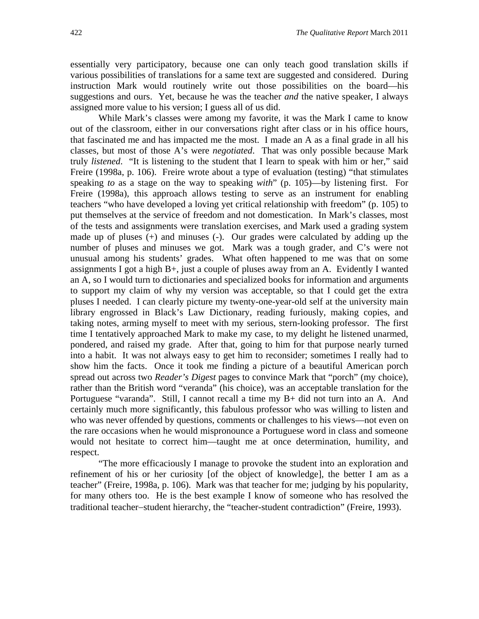essentially very participatory, because one can only teach good translation skills if various possibilities of translations for a same text are suggested and considered. During instruction Mark would routinely write out those possibilities on the board—his suggestions and ours. Yet, because he was the teacher *and* the native speaker, I always assigned more value to his version; I guess all of us did.

While Mark's classes were among my favorite, it was the Mark I came to know out of the classroom, either in our conversations right after class or in his office hours, that fascinated me and has impacted me the most. I made an A as a final grade in all his classes, but most of those A's were *negotiated*. That was only possible because Mark truly *listened*. "It is listening to the student that I learn to speak with him or her," said Freire (1998a, p. 106). Freire wrote about a type of evaluation (testing) "that stimulates speaking *to* as a stage on the way to speaking *with*" (p. 105)—by listening first. For Freire (1998a), this approach allows testing to serve as an instrument for enabling teachers "who have developed a loving yet critical relationship with freedom" (p. 105) to put themselves at the service of freedom and not domestication. In Mark's classes, most of the tests and assignments were translation exercises, and Mark used a grading system made up of pluses (+) and minuses (-). Our grades were calculated by adding up the number of pluses and minuses we got. Mark was a tough grader, and C's were not unusual among his students' grades. What often happened to me was that on some assignments I got a high B+, just a couple of pluses away from an A. Evidently I wanted an A, so I would turn to dictionaries and specialized books for information and arguments to support my claim of why my version was acceptable, so that I could get the extra pluses I needed. I can clearly picture my twenty-one-year-old self at the university main library engrossed in Black's Law Dictionary, reading furiously, making copies, and taking notes, arming myself to meet with my serious, stern-looking professor. The first time I tentatively approached Mark to make my case, to my delight he listened unarmed, pondered, and raised my grade. After that, going to him for that purpose nearly turned into a habit. It was not always easy to get him to reconsider; sometimes I really had to show him the facts. Once it took me finding a picture of a beautiful American porch spread out across two *Reader's Digest* pages to convince Mark that "porch" (my choice), rather than the British word "veranda" (his choice), was an acceptable translation for the Portuguese "varanda". Still, I cannot recall a time my B+ did not turn into an A. And certainly much more significantly, this fabulous professor who was willing to listen and who was never offended by questions, comments or challenges to his views—not even on the rare occasions when he would mispronounce a Portuguese word in class and someone would not hesitate to correct him—taught me at once determination, humility, and respect.

"The more efficaciously I manage to provoke the student into an exploration and refinement of his or her curiosity [of the object of knowledge], the better I am as a teacher" (Freire, 1998a, p. 106). Mark was that teacher for me; judging by his popularity, for many others too. He is the best example I know of someone who has resolved the traditional teacher-student hierarchy, the "teacher-student contradiction" (Freire, 1993).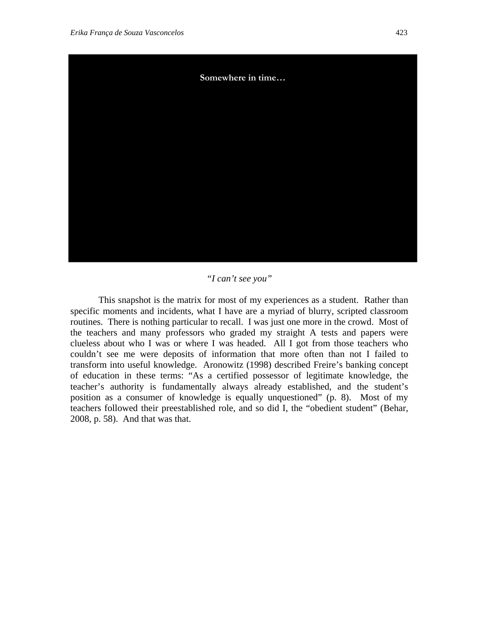

# *"I can't see you"*

This snapshot is the matrix for most of my experiences as a student. Rather than specific moments and incidents, what I have are a myriad of blurry, scripted classroom routines. There is nothing particular to recall. I was just one more in the crowd. Most of the teachers and many professors who graded my straight A tests and papers were clueless about who I was or where I was headed. All I got from those teachers who couldn't see me were deposits of information that more often than not I failed to transform into useful knowledge. Aronowitz (1998) described Freire's banking concept of education in these terms: "As a certified possessor of legitimate knowledge, the teacher's authority is fundamentally always already established, and the student's position as a consumer of knowledge is equally unquestioned" (p. 8). Most of my teachers followed their preestablished role, and so did I, the "obedient student" (Behar, 2008, p. 58). And that was that.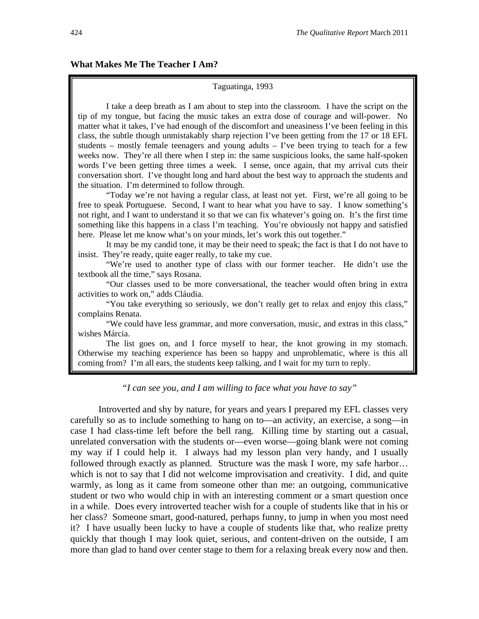#### Taguatinga, 1993

I take a deep breath as I am about to step into the classroom. I have the script on the tip of my tongue, but facing the music takes an extra dose of courage and will-power. No matter what it takes, I've had enough of the discomfort and uneasiness I've been feeling in this class, the subtle though unmistakably sharp rejection I've been getting from the 17 or 18 EFL students – mostly female teenagers and young adults – I've been trying to teach for a few weeks now. They're all there when I step in: the same suspicious looks, the same half-spoken words I've been getting three times a week. I sense, once again, that my arrival cuts their conversation short. I've thought long and hard about the best way to approach the students and the situation. I'm determined to follow through.

"Today we're not having a regular class, at least not yet. First, we're all going to be free to speak Portuguese. Second, I want to hear what you have to say. I know something's not right, and I want to understand it so that we can fix whatever's going on. It's the first time something like this happens in a class I'm teaching. You're obviously not happy and satisfied here. Please let me know what's on your minds, let's work this out together."

It may be my candid tone, it may be their need to speak; the fact is that I do not have to insist. They're ready, quite eager really, to take my cue.

"We're used to another type of class with our former teacher. He didn't use the textbook all the time," says Rosana.

"Our classes used to be more conversational, the teacher would often bring in extra activities to work on," adds Cláudia.

"You take everything so seriously, we don't really get to relax and enjoy this class," complains Renata.

"We could have less grammar, and more conversation, music, and extras in this class," wishes Márcia.

The list goes on, and I force myself to hear, the knot growing in my stomach. Otherwise my teaching experience has been so happy and unproblematic, where is this all coming from? I'm all ears, the students keep talking, and I wait for my turn to reply.

*"I can see you, and I am willing to face what you have to say"* 

Introverted and shy by nature, for years and years I prepared my EFL classes very carefully so as to include something to hang on to—an activity, an exercise, a song—in case I had class-time left before the bell rang. Killing time by starting out a casual, unrelated conversation with the students or—even worse—going blank were not coming my way if I could help it. I always had my lesson plan very handy, and I usually followed through exactly as planned. Structure was the mask I wore, my safe harbor… which is not to say that I did not welcome improvisation and creativity. I did, and quite warmly, as long as it came from someone other than me: an outgoing, communicative student or two who would chip in with an interesting comment or a smart question once in a while. Does every introverted teacher wish for a couple of students like that in his or her class? Someone smart, good-natured, perhaps funny, to jump in when you most need it? I have usually been lucky to have a couple of students like that, who realize pretty quickly that though I may look quiet, serious, and content-driven on the outside, I am more than glad to hand over center stage to them for a relaxing break every now and then.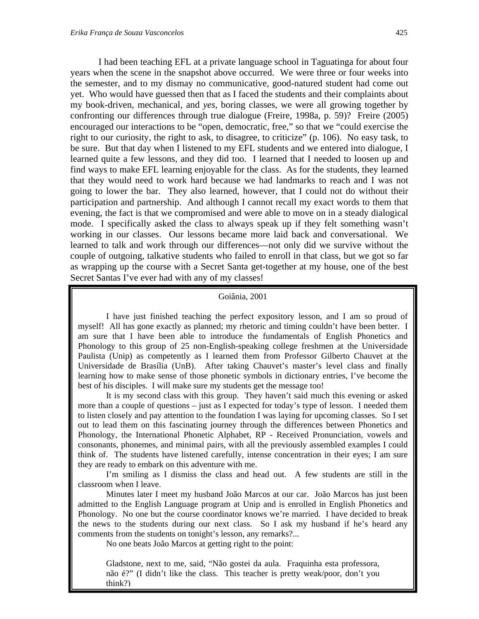I had been teaching EFL at a private language school in Taguatinga for about four years when the scene in the snapshot above occurred. We were three or four weeks into the semester, and to my dismay no communicative, good-natured student had come out yet. Who would have guessed then that as I faced the students and their complaints about my book-driven, mechanical, and *yes*, boring classes, we were all growing together by confronting our differences through true dialogue (Freire, 1998a, p. 59)? Freire (2005) encouraged our interactions to be "open, democratic, free," so that we "could exercise the right to our curiosity, the right to ask, to disagree, to criticize" (p. 106). No easy task, to be sure. But that day when I listened to my EFL students and we entered into dialogue, I learned quite a few lessons, and they did too. I learned that I needed to loosen up and find ways to make EFL learning enjoyable for the class. As for the students, they learned that they would need to work hard because we had landmarks to reach and I was not going to lower the bar. They also learned, however, that I could not do without their participation and partnership. And although I cannot recall my exact words to them that evening, the fact is that we compromised and were able to move on in a steady dialogical mode. I specifically asked the class to always speak up if they felt something wasn't working in our classes. Our lessons became more laid back and conversational. We learned to talk and work through our differences—not only did we survive without the couple of outgoing, talkative students who failed to enroll in that class, but we got so far as wrapping up the course with a Secret Santa get-together at my house, one of the best Secret Santas I've ever had with any of my classes!

### Goiânia, 2001

I have just finished teaching the perfect expository lesson, and I am so proud of myself! All has gone exactly as planned; my rhetoric and timing couldn't have been better. I am sure that I have been able to introduce the fundamentals of English Phonetics and Phonology to this group of 25 non-English-speaking college freshmen at the Universidade Paulista (Unip) as competently as I learned them from Professor Gilberto Chauvet at the Universidade de Brasília (UnB). After taking Chauvet's master's level class and finally learning how to make sense of those phonetic symbols in dictionary entries, I've become the best of his disciples. I will make sure my students get the message too!

It is my second class with this group. They haven't said much this evening or asked more than a couple of questions – just as I expected for today's type of lesson. I needed them to listen closely and pay attention to the foundation I was laying for upcoming classes. So I set out to lead them on this fascinating journey through the differences between Phonetics and Phonology, the International Phonetic Alphabet, RP - Received Pronunciation, vowels and consonants, phonemes, and minimal pairs, with all the previously assembled examples I could think of. The students have listened carefully, intense concentration in their eyes; I am sure they are ready to embark on this adventure with me.

I'm smiling as I dismiss the class and head out. A few students are still in the classroom when I leave.

Minutes later I meet my husband João Marcos at our car. João Marcos has just been admitted to the English Language program at Unip and is enrolled in English Phonetics and Phonology. No one but the course coordinator knows we're married. I have decided to break the news to the students during our next class. So I ask my husband if he's heard any comments from the students on tonight's lesson, any remarks?...

No one beats João Marcos at getting right to the point:

Gladstone, next to me, said, "Não gostei da aula. Fraquinha esta professora, não é?" (I didn't like the class. This teacher is pretty weak/poor, don't you think?)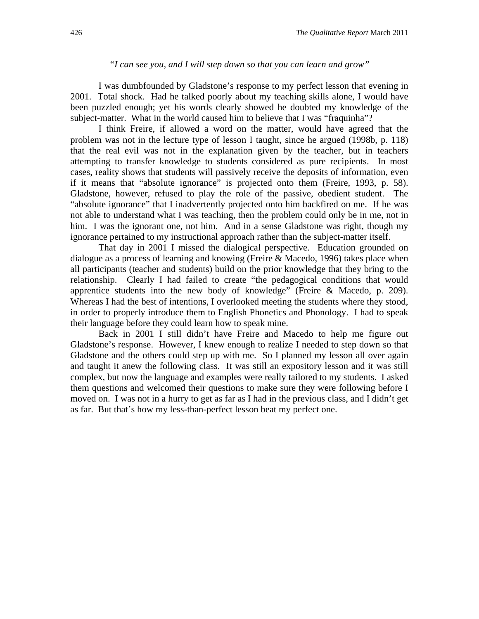# *"I can see you, and I will step down so that you can learn and grow"*

I was dumbfounded by Gladstone's response to my perfect lesson that evening in 2001. Total shock. Had he talked poorly about my teaching skills alone, I would have been puzzled enough; yet his words clearly showed he doubted my knowledge of the subject-matter. What in the world caused him to believe that I was "fraquinha"?

I think Freire, if allowed a word on the matter, would have agreed that the problem was not in the lecture type of lesson I taught, since he argued (1998b, p. 118) that the real evil was not in the explanation given by the teacher, but in teachers attempting to transfer knowledge to students considered as pure recipients. In most cases, reality shows that students will passively receive the deposits of information, even if it means that "absolute ignorance" is projected onto them (Freire, 1993, p. 58). Gladstone, however, refused to play the role of the passive, obedient student. The "absolute ignorance" that I inadvertently projected onto him backfired on me. If he was not able to understand what I was teaching, then the problem could only be in me, not in him. I was the ignorant one, not him. And in a sense Gladstone was right, though my ignorance pertained to my instructional approach rather than the subject-matter itself.

That day in 2001 I missed the dialogical perspective. Education grounded on dialogue as a process of learning and knowing (Freire & Macedo, 1996) takes place when all participants (teacher and students) build on the prior knowledge that they bring to the relationship. Clearly I had failed to create "the pedagogical conditions that would apprentice students into the new body of knowledge" (Freire & Macedo, p. 209). Whereas I had the best of intentions, I overlooked meeting the students where they stood, in order to properly introduce them to English Phonetics and Phonology. I had to speak their language before they could learn how to speak mine.

Back in 2001 I still didn't have Freire and Macedo to help me figure out Gladstone's response. However, I knew enough to realize I needed to step down so that Gladstone and the others could step up with me. So I planned my lesson all over again and taught it anew the following class. It was still an expository lesson and it was still complex, but now the language and examples were really tailored to my students. I asked them questions and welcomed their questions to make sure they were following before I moved on. I was not in a hurry to get as far as I had in the previous class, and I didn't get as far. But that's how my less-than-perfect lesson beat my perfect one.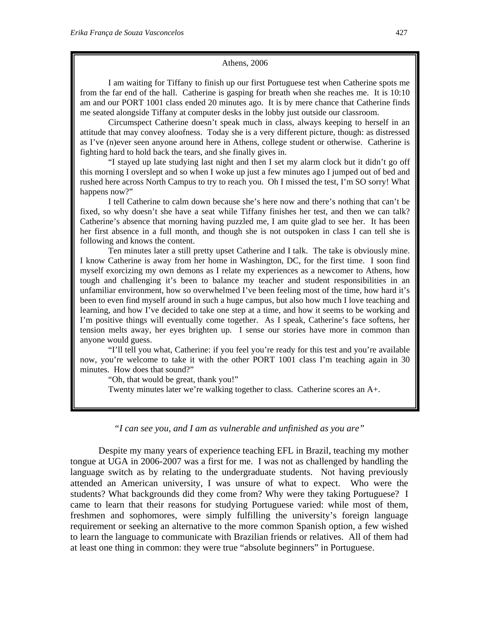#### Athens, 2006

I am waiting for Tiffany to finish up our first Portuguese test when Catherine spots me from the far end of the hall. Catherine is gasping for breath when she reaches me. It is 10:10 am and our PORT 1001 class ended 20 minutes ago. It is by mere chance that Catherine finds me seated alongside Tiffany at computer desks in the lobby just outside our classroom.

Circumspect Catherine doesn't speak much in class, always keeping to herself in an attitude that may convey aloofness. Today she is a very different picture, though: as distressed as I've (n)ever seen anyone around here in Athens, college student or otherwise. Catherine is fighting hard to hold back the tears, and she finally gives in.

"I stayed up late studying last night and then I set my alarm clock but it didn't go off this morning I overslept and so when I woke up just a few minutes ago I jumped out of bed and rushed here across North Campus to try to reach you. Oh I missed the test, I'm SO sorry! What happens now?"

I tell Catherine to calm down because she's here now and there's nothing that can't be fixed, so why doesn't she have a seat while Tiffany finishes her test, and then we can talk? Catherine's absence that morning having puzzled me, I am quite glad to see her. It has been her first absence in a full month, and though she is not outspoken in class I can tell she is following and knows the content.

Ten minutes later a still pretty upset Catherine and I talk. The take is obviously mine. I know Catherine is away from her home in Washington, DC, for the first time. I soon find myself exorcizing my own demons as I relate my experiences as a newcomer to Athens, how tough and challenging it's been to balance my teacher and student responsibilities in an unfamiliar environment, how so overwhelmed I've been feeling most of the time, how hard it's been to even find myself around in such a huge campus, but also how much I love teaching and learning, and how I've decided to take one step at a time, and how it seems to be working and I'm positive things will eventually come together. As I speak, Catherine's face softens, her tension melts away, her eyes brighten up. I sense our stories have more in common than anyone would guess.

"I'll tell you what, Catherine: if you feel you're ready for this test and you're available now, you're welcome to take it with the other PORT 1001 class I'm teaching again in 30 minutes. How does that sound?"

"Oh, that would be great, thank you!"

Twenty minutes later we're walking together to class. Catherine scores an A+.

# *"I can see you, and I am as vulnerable and unfinished as you are"*

Despite my many years of experience teaching EFL in Brazil, teaching my mother tongue at UGA in 2006-2007 was a first for me. I was not as challenged by handling the language switch as by relating to the undergraduate students. Not having previously attended an American university, I was unsure of what to expect. Who were the students? What backgrounds did they come from? Why were they taking Portuguese? I came to learn that their reasons for studying Portuguese varied: while most of them, freshmen and sophomores, were simply fulfilling the university's foreign language requirement or seeking an alternative to the more common Spanish option, a few wished to learn the language to communicate with Brazilian friends or relatives. All of them had at least one thing in common: they were true "absolute beginners" in Portuguese.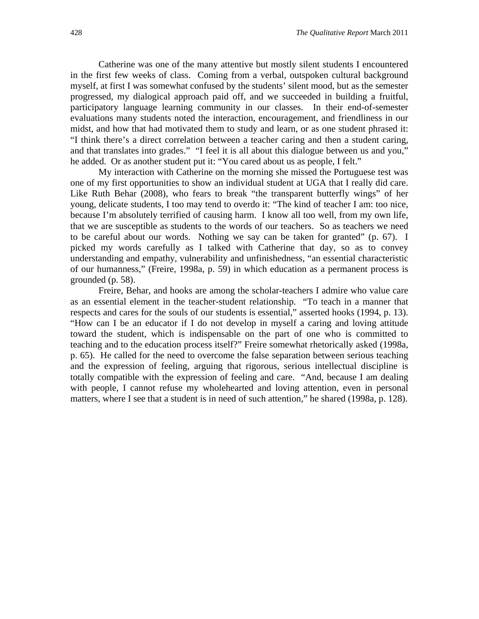Catherine was one of the many attentive but mostly silent students I encountered in the first few weeks of class. Coming from a verbal, outspoken cultural background myself, at first I was somewhat confused by the students' silent mood, but as the semester progressed, my dialogical approach paid off, and we succeeded in building a fruitful, participatory language learning community in our classes. In their end-of-semester evaluations many students noted the interaction, encouragement, and friendliness in our midst, and how that had motivated them to study and learn, or as one student phrased it: "I think there's a direct correlation between a teacher caring and then a student caring, and that translates into grades." "I feel it is all about this dialogue between us and you," he added. Or as another student put it: "You cared about us as people, I felt."

My interaction with Catherine on the morning she missed the Portuguese test was one of my first opportunities to show an individual student at UGA that I really did care. Like Ruth Behar (2008), who fears to break "the transparent butterfly wings" of her young, delicate students, I too may tend to overdo it: "The kind of teacher I am: too nice, because I'm absolutely terrified of causing harm. I know all too well, from my own life, that we are susceptible as students to the words of our teachers. So as teachers we need to be careful about our words. Nothing we say can be taken for granted" (p. 67). I picked my words carefully as I talked with Catherine that day, so as to convey understanding and empathy, vulnerability and unfinishedness, "an essential characteristic of our humanness," (Freire, 1998a, p. 59) in which education as a permanent process is grounded (p. 58).

Freire, Behar, and hooks are among the scholar-teachers I admire who value care as an essential element in the teacher-student relationship. "To teach in a manner that respects and cares for the souls of our students is essential," asserted hooks (1994, p. 13). "How can I be an educator if I do not develop in myself a caring and loving attitude toward the student, which is indispensable on the part of one who is committed to teaching and to the education process itself?" Freire somewhat rhetorically asked (1998a, p. 65). He called for the need to overcome the false separation between serious teaching and the expression of feeling, arguing that rigorous, serious intellectual discipline is totally compatible with the expression of feeling and care. "And, because I am dealing with people, I cannot refuse my wholehearted and loving attention, even in personal matters, where I see that a student is in need of such attention," he shared (1998a, p. 128).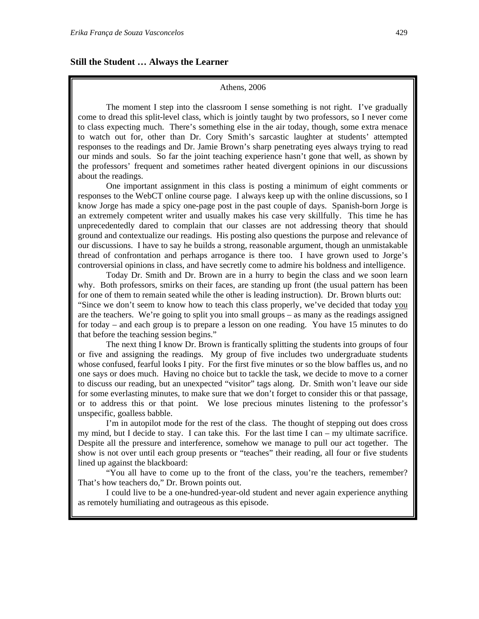#### Athens, 2006

The moment I step into the classroom I sense something is not right. I've gradually come to dread this split-level class, which is jointly taught by two professors, so I never come to class expecting much. There's something else in the air today, though, some extra menace to watch out for, other than Dr. Cory Smith's sarcastic laughter at students' attempted responses to the readings and Dr. Jamie Brown's sharp penetrating eyes always trying to read our minds and souls. So far the joint teaching experience hasn't gone that well, as shown by the professors' frequent and sometimes rather heated divergent opinions in our discussions about the readings.

One important assignment in this class is posting a minimum of eight comments or responses to the WebCT online course page. I always keep up with the online discussions, so I know Jorge has made a spicy one-page post in the past couple of days. Spanish-born Jorge is an extremely competent writer and usually makes his case very skillfully. This time he has unprecedentedly dared to complain that our classes are not addressing theory that should ground and contextualize our readings. His posting also questions the purpose and relevance of our discussions. I have to say he builds a strong, reasonable argument, though an unmistakable thread of confrontation and perhaps arrogance is there too. I have grown used to Jorge's controversial opinions in class, and have secretly come to admire his boldness and intelligence.

Today Dr. Smith and Dr. Brown are in a hurry to begin the class and we soon learn why. Both professors, smirks on their faces, are standing up front (the usual pattern has been for one of them to remain seated while the other is leading instruction). Dr. Brown blurts out: "Since we don't seem to know how to teach this class properly, we've decided that today you are the teachers. We're going to split you into small groups – as many as the readings assigned for today – and each group is to prepare a lesson on one reading. You have 15 minutes to do that before the teaching session begins."

The next thing I know Dr. Brown is frantically splitting the students into groups of four or five and assigning the readings. My group of five includes two undergraduate students whose confused, fearful looks I pity. For the first five minutes or so the blow baffles us, and no one says or does much. Having no choice but to tackle the task, we decide to move to a corner to discuss our reading, but an unexpected "visitor" tags along. Dr. Smith won't leave our side for some everlasting minutes, to make sure that we don't forget to consider this or that passage, or to address this or that point. We lose precious minutes listening to the professor's unspecific, goalless babble.

I'm in autopilot mode for the rest of the class. The thought of stepping out does cross my mind, but I decide to stay. I can take this. For the last time I can – my ultimate sacrifice. Despite all the pressure and interference, somehow we manage to pull our act together. The show is not over until each group presents or "teaches" their reading, all four or five students lined up against the blackboard:

"You all have to come up to the front of the class, you're the teachers, remember? That's how teachers do," Dr. Brown points out.

I could live to be a one-hundred-year-old student and never again experience anything as remotely humiliating and outrageous as this episode.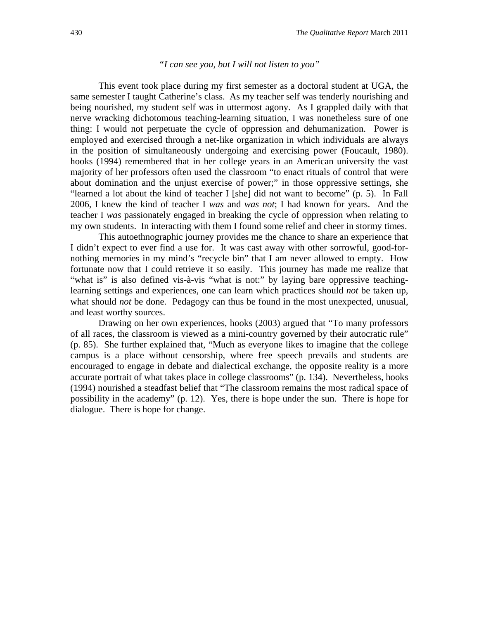# *"I can see you, but I will not listen to you"*

This event took place during my first semester as a doctoral student at UGA, the same semester I taught Catherine's class. As my teacher self was tenderly nourishing and being nourished, my student self was in uttermost agony. As I grappled daily with that nerve wracking dichotomous teaching-learning situation, I was nonetheless sure of one thing: I would not perpetuate the cycle of oppression and dehumanization. Power is employed and exercised through a net-like organization in which individuals are always in the position of simultaneously undergoing and exercising power (Foucault, 1980). hooks (1994) remembered that in her college years in an American university the vast majority of her professors often used the classroom "to enact rituals of control that were about domination and the unjust exercise of power;" in those oppressive settings, she "learned a lot about the kind of teacher I [she] did not want to become" (p. 5). In Fall 2006, I knew the kind of teacher I *was* and *was not*; I had known for years. And the teacher I *was* passionately engaged in breaking the cycle of oppression when relating to my own students. In interacting with them I found some relief and cheer in stormy times.

This autoethnographic journey provides me the chance to share an experience that I didn't expect to ever find a use for. It was cast away with other sorrowful, good-fornothing memories in my mind's "recycle bin" that I am never allowed to empty. How fortunate now that I could retrieve it so easily. This journey has made me realize that "what is" is also defined vis-à-vis "what is not:" by laying bare oppressive teachinglearning settings and experiences, one can learn which practices should *not* be taken up, what should *not* be done. Pedagogy can thus be found in the most unexpected, unusual, and least worthy sources.

Drawing on her own experiences, hooks (2003) argued that "To many professors of all races, the classroom is viewed as a mini-country governed by their autocratic rule" (p. 85). She further explained that, "Much as everyone likes to imagine that the college campus is a place without censorship, where free speech prevails and students are encouraged to engage in debate and dialectical exchange, the opposite reality is a more accurate portrait of what takes place in college classrooms" (p. 134). Nevertheless, hooks (1994) nourished a steadfast belief that "The classroom remains the most radical space of possibility in the academy" (p. 12). Yes, there is hope under the sun. There is hope for dialogue. There is hope for change.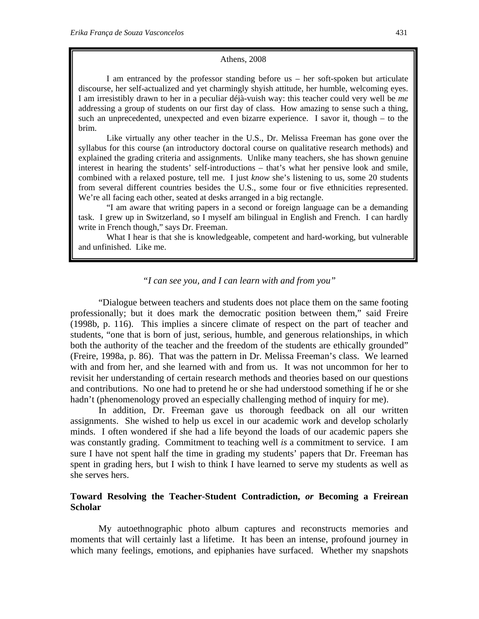#### Athens, 2008

I am entranced by the professor standing before us – her soft-spoken but articulate discourse, her self-actualized and yet charmingly shyish attitude, her humble, welcoming eyes. I am irresistibly drawn to her in a peculiar déjà-vuish way: this teacher could very well be *me* addressing a group of students on our first day of class. How amazing to sense such a thing, such an unprecedented, unexpected and even bizarre experience. I savor it, though – to the brim.

Like virtually any other teacher in the U.S., Dr. Melissa Freeman has gone over the syllabus for this course (an introductory doctoral course on qualitative research methods) and explained the grading criteria and assignments. Unlike many teachers, she has shown genuine interest in hearing the students' self-introductions – that's what her pensive look and smile, combined with a relaxed posture, tell me. I just *know* she's listening to us, some 20 students from several different countries besides the U.S., some four or five ethnicities represented. We're all facing each other, seated at desks arranged in a big rectangle.

"I am aware that writing papers in a second or foreign language can be a demanding task. I grew up in Switzerland, so I myself am bilingual in English and French. I can hardly write in French though," says Dr. Freeman.

What I hear is that she is knowledgeable, competent and hard-working, but vulnerable and unfinished. Like me.

# *"I can see you, and I can learn with and from you"*

"Dialogue between teachers and students does not place them on the same footing professionally; but it does mark the democratic position between them," said Freire (1998b, p. 116). This implies a sincere climate of respect on the part of teacher and students, "one that is born of just, serious, humble, and generous relationships, in which both the authority of the teacher and the freedom of the students are ethically grounded" (Freire, 1998a, p. 86). That was the pattern in Dr. Melissa Freeman's class. We learned with and from her, and she learned with and from us. It was not uncommon for her to revisit her understanding of certain research methods and theories based on our questions and contributions. No one had to pretend he or she had understood something if he or she hadn't (phenomenology proved an especially challenging method of inquiry for me).

In addition, Dr. Freeman gave us thorough feedback on all our written assignments. She wished to help us excel in our academic work and develop scholarly minds. I often wondered if she had a life beyond the loads of our academic papers she was constantly grading. Commitment to teaching well *is* a commitment to service. I am sure I have not spent half the time in grading my students' papers that Dr. Freeman has spent in grading hers, but I wish to think I have learned to serve my students as well as she serves hers.

# **Toward Resolving the Teacher-Student Contradiction,** *or* **Becoming a Freirean Scholar**

My autoethnographic photo album captures and reconstructs memories and moments that will certainly last a lifetime. It has been an intense, profound journey in which many feelings, emotions, and epiphanies have surfaced. Whether my snapshots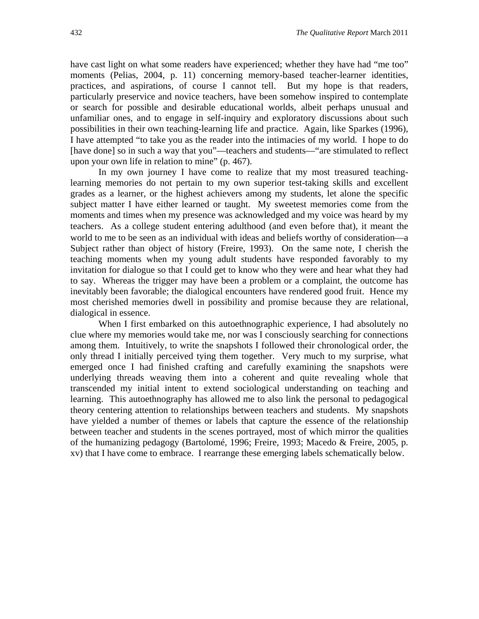have cast light on what some readers have experienced; whether they have had "me too" moments (Pelias, 2004, p. 11) concerning memory-based teacher-learner identities, practices, and aspirations, of course I cannot tell. But my hope is that readers, particularly preservice and novice teachers, have been somehow inspired to contemplate or search for possible and desirable educational worlds, albeit perhaps unusual and unfamiliar ones, and to engage in self-inquiry and exploratory discussions about such possibilities in their own teaching-learning life and practice. Again, like Sparkes (1996), I have attempted "to take you as the reader into the intimacies of my world. I hope to do [have done] so in such a way that you"—teachers and students—"are stimulated to reflect upon your own life in relation to mine" (p. 467).

In my own journey I have come to realize that my most treasured teachinglearning memories do not pertain to my own superior test-taking skills and excellent grades as a learner, or the highest achievers among my students, let alone the specific subject matter I have either learned or taught. My sweetest memories come from the moments and times when my presence was acknowledged and my voice was heard by my teachers. As a college student entering adulthood (and even before that), it meant the world to me to be seen as an individual with ideas and beliefs worthy of consideration—a Subject rather than object of history (Freire, 1993). On the same note, I cherish the teaching moments when my young adult students have responded favorably to my invitation for dialogue so that I could get to know who they were and hear what they had to say. Whereas the trigger may have been a problem or a complaint, the outcome has inevitably been favorable; the dialogical encounters have rendered good fruit. Hence my most cherished memories dwell in possibility and promise because they are relational, dialogical in essence.

When I first embarked on this autoethnographic experience, I had absolutely no clue where my memories would take me, nor was I consciously searching for connections among them. Intuitively, to write the snapshots I followed their chronological order, the only thread I initially perceived tying them together. Very much to my surprise, what emerged once I had finished crafting and carefully examining the snapshots were underlying threads weaving them into a coherent and quite revealing whole that transcended my initial intent to extend sociological understanding on teaching and learning. This autoethnography has allowed me to also link the personal to pedagogical theory centering attention to relationships between teachers and students. My snapshots have yielded a number of themes or labels that capture the essence of the relationship between teacher and students in the scenes portrayed, most of which mirror the qualities of the humanizing pedagogy (Bartolomé, 1996; Freire, 1993; Macedo & Freire, 2005, p. xv) that I have come to embrace. I rearrange these emerging labels schematically below.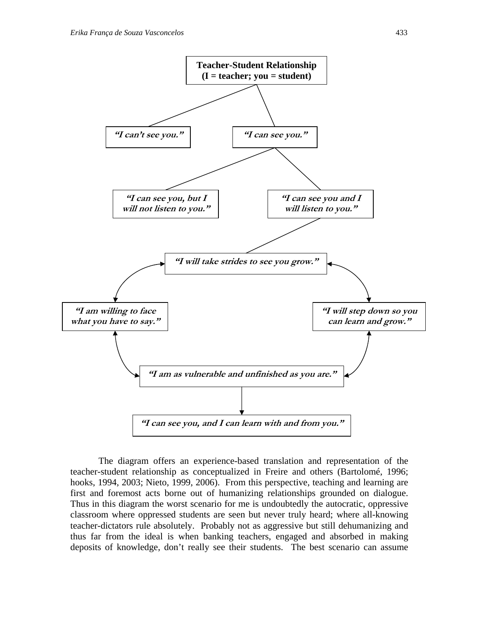

The diagram offers an experience-based translation and representation of the teacher-student relationship as conceptualized in Freire and others (Bartolomé, 1996; hooks, 1994, 2003; Nieto, 1999, 2006). From this perspective, teaching and learning are first and foremost acts borne out of humanizing relationships grounded on dialogue. Thus in this diagram the worst scenario for me is undoubtedly the autocratic, oppressive classroom where oppressed students are seen but never truly heard; where all-knowing teacher-dictators rule absolutely. Probably not as aggressive but still dehumanizing and thus far from the ideal is when banking teachers, engaged and absorbed in making deposits of knowledge, don't really see their students. The best scenario can assume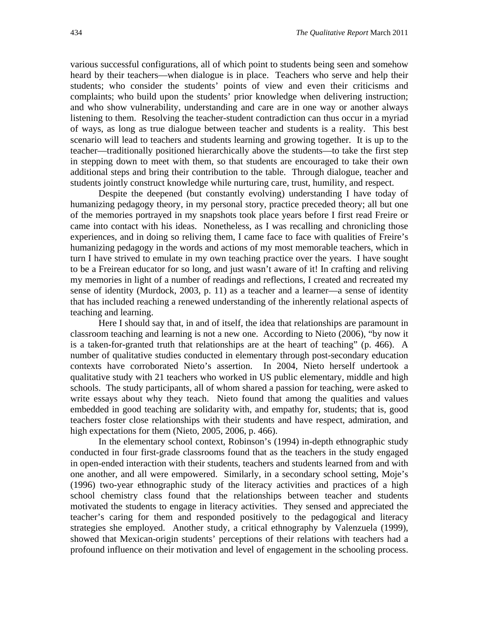various successful configurations, all of which point to students being seen and somehow heard by their teachers—when dialogue is in place. Teachers who serve and help their students; who consider the students' points of view and even their criticisms and complaints; who build upon the students' prior knowledge when delivering instruction; and who show vulnerability, understanding and care are in one way or another always listening to them. Resolving the teacher-student contradiction can thus occur in a myriad of ways, as long as true dialogue between teacher and students is a reality. This best scenario will lead to teachers and students learning and growing together. It is up to the teacher—traditionally positioned hierarchically above the students—to take the first step in stepping down to meet with them, so that students are encouraged to take their own additional steps and bring their contribution to the table. Through dialogue, teacher and students jointly construct knowledge while nurturing care, trust, humility, and respect.

Despite the deepened (but constantly evolving) understanding I have today of humanizing pedagogy theory, in my personal story, practice preceded theory; all but one of the memories portrayed in my snapshots took place years before I first read Freire or came into contact with his ideas. Nonetheless, as I was recalling and chronicling those experiences, and in doing so reliving them, I came face to face with qualities of Freire's humanizing pedagogy in the words and actions of my most memorable teachers, which in turn I have strived to emulate in my own teaching practice over the years. I have sought to be a Freirean educator for so long, and just wasn't aware of it! In crafting and reliving my memories in light of a number of readings and reflections, I created and recreated my sense of identity (Murdock, 2003, p. 11) as a teacher and a learner—a sense of identity that has included reaching a renewed understanding of the inherently relational aspects of teaching and learning.

Here I should say that, in and of itself, the idea that relationships are paramount in classroom teaching and learning is not a new one. According to Nieto (2006), "by now it is a taken-for-granted truth that relationships are at the heart of teaching" (p. 466). A number of qualitative studies conducted in elementary through post-secondary education contexts have corroborated Nieto's assertion. In 2004, Nieto herself undertook a qualitative study with 21 teachers who worked in US public elementary, middle and high schools. The study participants, all of whom shared a passion for teaching, were asked to write essays about why they teach. Nieto found that among the qualities and values embedded in good teaching are solidarity with, and empathy for, students; that is, good teachers foster close relationships with their students and have respect, admiration, and high expectations for them (Nieto, 2005, 2006, p. 466).

In the elementary school context, Robinson's (1994) in-depth ethnographic study conducted in four first-grade classrooms found that as the teachers in the study engaged in open-ended interaction with their students, teachers and students learned from and with one another, and all were empowered. Similarly, in a secondary school setting, Moje's (1996) two-year ethnographic study of the literacy activities and practices of a high school chemistry class found that the relationships between teacher and students motivated the students to engage in literacy activities. They sensed and appreciated the teacher's caring for them and responded positively to the pedagogical and literacy strategies she employed. Another study, a critical ethnography by Valenzuela (1999), showed that Mexican-origin students' perceptions of their relations with teachers had a profound influence on their motivation and level of engagement in the schooling process.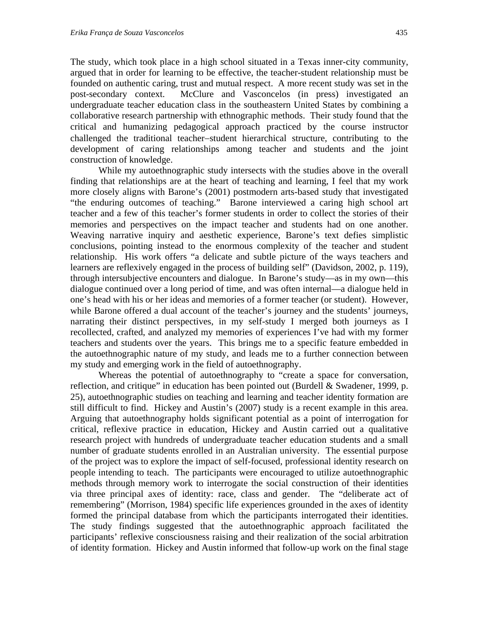The study, which took place in a high school situated in a Texas inner-city community, argued that in order for learning to be effective, the teacher-student relationship must be founded on authentic caring, trust and mutual respect. A more recent study was set in the post-secondary context. McClure and Vasconcelos (in press) investigated an undergraduate teacher education class in the southeastern United States by combining a collaborative research partnership with ethnographic methods. Their study found that the critical and humanizing pedagogical approach practiced by the course instructor challenged the traditional teacher-student hierarchical structure, contributing to the development of caring relationships among teacher and students and the joint construction of knowledge.

While my autoethnographic study intersects with the studies above in the overall finding that relationships are at the heart of teaching and learning, I feel that my work more closely aligns with Barone's (2001) postmodern arts-based study that investigated "the enduring outcomes of teaching." Barone interviewed a caring high school art teacher and a few of this teacher's former students in order to collect the stories of their memories and perspectives on the impact teacher and students had on one another. Weaving narrative inquiry and aesthetic experience, Barone's text defies simplistic conclusions, pointing instead to the enormous complexity of the teacher and student relationship. His work offers "a delicate and subtle picture of the ways teachers and learners are reflexively engaged in the process of building self" (Davidson, 2002, p. 119), through intersubjective encounters and dialogue. In Barone's study—as in my own—this dialogue continued over a long period of time, and was often internal—a dialogue held in one's head with his or her ideas and memories of a former teacher (or student). However, while Barone offered a dual account of the teacher's journey and the students' journeys, narrating their distinct perspectives, in my self-study I merged both journeys as I recollected, crafted, and analyzed my memories of experiences I've had with my former teachers and students over the years. This brings me to a specific feature embedded in the autoethnographic nature of my study, and leads me to a further connection between my study and emerging work in the field of autoethnography.

Whereas the potential of autoethnography to "create a space for conversation, reflection, and critique" in education has been pointed out (Burdell & Swadener, 1999, p. 25), autoethnographic studies on teaching and learning and teacher identity formation are still difficult to find. Hickey and Austin's (2007) study is a recent example in this area. Arguing that autoethnography holds significant potential as a point of interrogation for critical, reflexive practice in education, Hickey and Austin carried out a qualitative research project with hundreds of undergraduate teacher education students and a small number of graduate students enrolled in an Australian university. The essential purpose of the project was to explore the impact of self-focused, professional identity research on people intending to teach. The participants were encouraged to utilize autoethnographic methods through memory work to interrogate the social construction of their identities via three principal axes of identity: race, class and gender. The "deliberate act of remembering" (Morrison, 1984) specific life experiences grounded in the axes of identity formed the principal database from which the participants interrogated their identities. The study findings suggested that the autoethnographic approach facilitated the participants' reflexive consciousness raising and their realization of the social arbitration of identity formation. Hickey and Austin informed that follow-up work on the final stage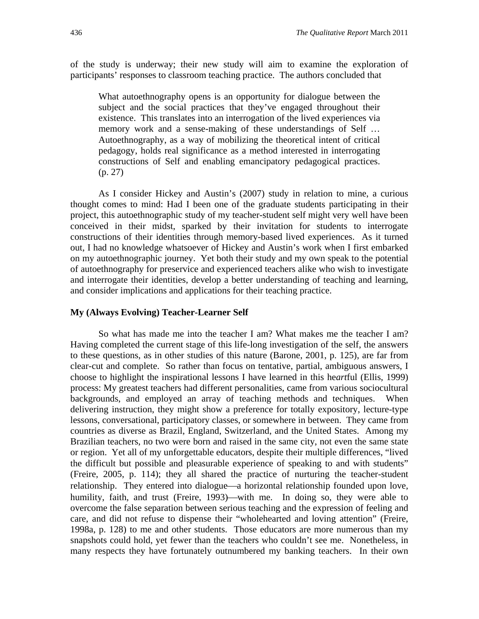of the study is underway; their new study will aim to examine the exploration of participants' responses to classroom teaching practice. The authors concluded that

What autoethnography opens is an opportunity for dialogue between the subject and the social practices that they've engaged throughout their existence. This translates into an interrogation of the lived experiences via memory work and a sense-making of these understandings of Self … Autoethnography, as a way of mobilizing the theoretical intent of critical pedagogy, holds real significance as a method interested in interrogating constructions of Self and enabling emancipatory pedagogical practices. (p. 27)

As I consider Hickey and Austin's (2007) study in relation to mine, a curious thought comes to mind: Had I been one of the graduate students participating in their project, this autoethnographic study of my teacher-student self might very well have been conceived in their midst, sparked by their invitation for students to interrogate constructions of their identities through memory-based lived experiences. As it turned out, I had no knowledge whatsoever of Hickey and Austin's work when I first embarked on my autoethnographic journey. Yet both their study and my own speak to the potential of autoethnography for preservice and experienced teachers alike who wish to investigate and interrogate their identities, develop a better understanding of teaching and learning, and consider implications and applications for their teaching practice.

### **My (Always Evolving) Teacher-Learner Self**

So what has made me into the teacher I am? What makes me the teacher I am? Having completed the current stage of this life-long investigation of the self, the answers to these questions, as in other studies of this nature (Barone, 2001, p. 125), are far from clear-cut and complete. So rather than focus on tentative, partial, ambiguous answers, I choose to highlight the inspirational lessons I have learned in this he*art*ful (Ellis, 1999) process: My greatest teachers had different personalities, came from various sociocultural backgrounds, and employed an array of teaching methods and techniques. When delivering instruction, they might show a preference for totally expository, lecture-type lessons, conversational, participatory classes, or somewhere in between. They came from countries as diverse as Brazil, England, Switzerland, and the United States. Among my Brazilian teachers, no two were born and raised in the same city, not even the same state or region. Yet all of my unforgettable educators, despite their multiple differences, "lived the difficult but possible and pleasurable experience of speaking to and with students" (Freire, 2005, p. 114); they all shared the practice of nurturing the teacher-student relationship. They entered into dialogue—a horizontal relationship founded upon love, humility, faith, and trust (Freire, 1993)—with me. In doing so, they were able to overcome the false separation between serious teaching and the expression of feeling and care, and did not refuse to dispense their "wholehearted and loving attention" (Freire, 1998a, p. 128) to me and other students. Those educators are more numerous than my snapshots could hold, yet fewer than the teachers who couldn't see me. Nonetheless, in many respects they have fortunately outnumbered my banking teachers. In their own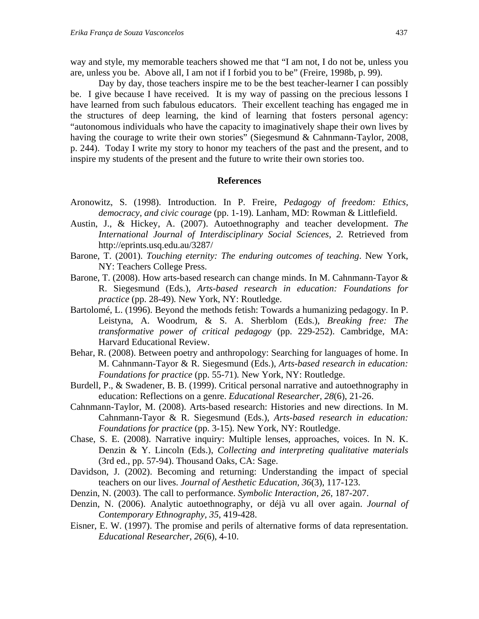way and style, my memorable teachers showed me that "I am not, I do not be, unless you are, unless you be. Above all, I am not if I forbid you to be" (Freire, 1998b, p. 99).

Day by day, those teachers inspire me to be the best teacher-learner I can possibly be. I give because I have received. It is my way of passing on the precious lessons I have learned from such fabulous educators. Their excellent teaching has engaged me in the structures of deep learning, the kind of learning that fosters personal agency: "autonomous individuals who have the capacity to imaginatively shape their own lives by having the courage to write their own stories" (Siegesmund & Cahnmann-Taylor, 2008, p. 244). Today I write my story to honor my teachers of the past and the present, and to inspire my students of the present and the future to write their own stories too.

### **References**

- Aronowitz, S. (1998). Introduction. In P. Freire, *Pedagogy of freedom: Ethics, democracy, and civic courage* (pp. 1-19)*.* Lanham, MD: Rowman & Littlefield.
- Austin, J., & Hickey, A. (2007). Autoethnography and teacher development. *The International Journal of Interdisciplinary Social Sciences, 2.* Retrieved from http://eprints.usq.edu.au/3287/
- Barone, T. (2001). *Touching eternity: The enduring outcomes of teaching*. New York, NY: Teachers College Press.
- Barone, T. (2008). How arts-based research can change minds. In M. Cahnmann-Tayor & R. Siegesmund (Eds.), *Arts-based research in education: Foundations for practice* (pp. 28-49)*.* New York, NY: Routledge.
- Bartolomé, L. (1996). Beyond the methods fetish: Towards a humanizing pedagogy. In P. Leistyna, A. Woodrum, & S. A. Sherblom (Eds.), *Breaking free: The transformative power of critical pedagogy* (pp. 229-252). Cambridge, MA: Harvard Educational Review.
- Behar, R. (2008). Between poetry and anthropology: Searching for languages of home. In M. Cahnmann-Tayor & R. Siegesmund (Eds.), *Arts-based research in education: Foundations for practice* (pp. 55-71)*.* New York, NY: Routledge.
- Burdell, P., & Swadener, B. B. (1999). Critical personal narrative and autoethnography in education: Reflections on a genre. *Educational Researcher, 28*(6), 21-26.
- Cahnmann-Taylor, M. (2008). Arts-based research: Histories and new directions. In M. Cahnmann-Tayor & R. Siegesmund (Eds.), *Arts-based research in education: Foundations for practice* (pp. 3-15)*.* New York, NY: Routledge.
- Chase, S. E. (2008). Narrative inquiry: Multiple lenses, approaches, voices. In N. K. Denzin & Y. Lincoln (Eds.), *Collecting and interpreting qualitative materials* (3rd ed., pp. 57-94). Thousand Oaks, CA: Sage.
- Davidson, J. (2002). Becoming and returning: Understanding the impact of special teachers on our lives. *Journal of Aesthetic Education, 36*(3), 117-123.
- Denzin, N. (2003). The call to performance. *Symbolic Interaction, 26*, 187-207.
- Denzin, N. (2006). Analytic autoethnography, or déjà vu all over again. *Journal of Contemporary Ethnography, 35*, 419-428.
- Eisner, E. W. (1997). The promise and perils of alternative forms of data representation. *Educational Researcher*, *26*(6), 4-10.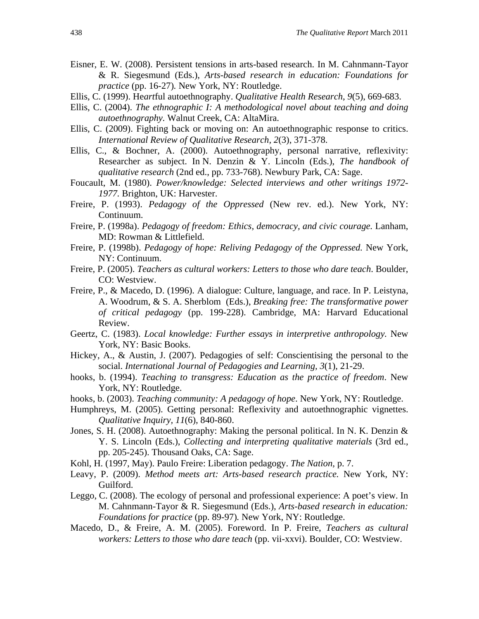- Eisner, E. W. (2008). Persistent tensions in arts-based research. In M. Cahnmann-Tayor & R. Siegesmund (Eds.), *Arts-based research in education: Foundations for practice* (pp. 16-27)*.* New York, NY: Routledge.
- Ellis, C. (1999). He*art*ful autoethnography. *Qualitative Health Research*, *9*(5), 669-683.
- Ellis, C. (2004). *The ethnographic I: A methodological novel about teaching and doing autoethnography.* Walnut Creek, CA: AltaMira.
- Ellis, C. (2009). Fighting back or moving on: An autoethnographic response to critics. *International Review of Qualitative Research, 2*(3), 371-378.
- Ellis, C., & Bochner, A. (2000). Autoethnography, personal narrative, reflexivity: Researcher as subject. In N. Denzin & Y. Lincoln (Eds.), *The handbook of qualitative research* (2nd ed., pp. 733-768). Newbury Park, CA: Sage.
- Foucault, M. (1980). *Power/knowledge: Selected interviews and other writings 1972- 1977.* Brighton, UK: Harvester.
- Freire, P. (1993). *Pedagogy of the Oppressed* (New rev. ed.). New York, NY: Continuum.
- Freire, P. (1998a). *Pedagogy of freedom: Ethics, democracy, and civic courage.* Lanham, MD: Rowman & Littlefield.
- Freire, P. (1998b). *Pedagogy of hope: Reliving Pedagogy of the Oppressed.* New York, NY: Continuum.
- Freire, P. (2005). *Teachers as cultural workers: Letters to those who dare teach*. Boulder, CO: Westview.
- Freire, P., & Macedo, D. (1996). A dialogue: Culture, language, and race. In P. Leistyna, A. Woodrum, & S. A. Sherblom (Eds.), *Breaking free: The transformative power of critical pedagogy* (pp. 199-228). Cambridge, MA: Harvard Educational Review.
- Geertz, C. (1983). *Local knowledge: Further essays in interpretive anthropology.* New York, NY: Basic Books.
- Hickey, A., & Austin, J. (2007). Pedagogies of self: Conscientising the personal to the social. *International Journal of Pedagogies and Learning, 3*(1), 21-29.
- hooks, b. (1994). *Teaching to transgress: Education as the practice of freedom*. New York, NY: Routledge.
- hooks, b. (2003). *Teaching community: A pedagogy of hope*. New York, NY: Routledge.
- Humphreys, M. (2005). Getting personal: Reflexivity and autoethnographic vignettes. *Qualitative Inquiry, 11*(6), 840-860.
- Jones, S. H. (2008). Autoethnography: Making the personal political. In N. K. Denzin & Y. S. Lincoln (Eds.), *Collecting and interpreting qualitative materials* (3rd ed., pp. 205-245). Thousand Oaks, CA: Sage.
- Kohl, H. (1997, May). Paulo Freire: Liberation pedagogy. *The Nation,* p. 7.
- Leavy, P. (2009). *Method meets art: Arts-based research practice.* New York, NY: Guilford.
- Leggo, C. (2008). The ecology of personal and professional experience: A poet's view. In M. Cahnmann-Tayor & R. Siegesmund (Eds.), *Arts-based research in education: Foundations for practice* (pp. 89-97)*.* New York, NY: Routledge.
- Macedo, D., & Freire, A. M. (2005). Foreword. In P. Freire, *Teachers as cultural workers: Letters to those who dare teach* (pp. vii-xxvi). Boulder, CO: Westview.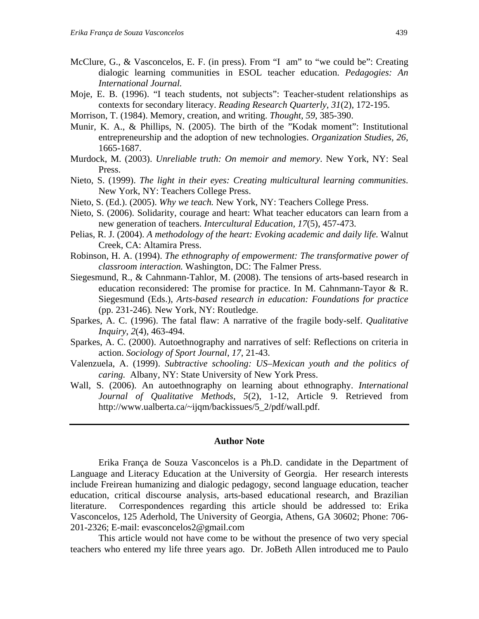- McClure, G., & Vasconcelos, E. F. (in press). From "I am" to "we could be": Creating dialogic learning communities in ESOL teacher education. *Pedagogies: An International Journal.*
- Moje, E. B. (1996). "I teach students, not subjects": Teacher-student relationships as contexts for secondary literacy. *Reading Research Quarterly, 31*(2), 172-195.
- Morrison, T. (1984). Memory, creation, and writing. *Thought, 59*, 385-390.
- Munir, K. A., & Phillips, N. (2005). The birth of the "Kodak moment": Institutional entrepreneurship and the adoption of new technologies. *Organization Studies, 26*, 1665-1687.
- Murdock, M. (2003). *Unreliable truth: On memoir and memory*. New York, NY: Seal Press.
- Nieto, S. (1999). *The light in their eyes: Creating multicultural learning communities*. New York, NY: Teachers College Press.
- Nieto, S. (Ed.). (2005). *Why we teach.* New York, NY: Teachers College Press.
- Nieto, S. (2006). Solidarity, courage and heart: What teacher educators can learn from a new generation of teachers. *Intercultural Education, 17*(5), 457-473.
- Pelias, R. J. (2004). *A methodology of the heart: Evoking academic and daily life.* Walnut Creek, CA: Altamira Press.
- Robinson, H. A. (1994). *The ethnography of empowerment: The transformative power of classroom interaction.* Washington, DC: The Falmer Press.
- Siegesmund, R., & Cahnmann-Tahlor, M. (2008). The tensions of arts-based research in education reconsidered: The promise for practice. In M. Cahnmann-Tayor & R. Siegesmund (Eds.), *Arts-based research in education: Foundations for practice* (pp. 231-246)*.* New York, NY: Routledge.
- Sparkes, A. C. (1996). The fatal flaw: A narrative of the fragile body-self. *Qualitative Inquiry*, *2*(4), 463-494.
- Sparkes, A. C. (2000). Autoethnography and narratives of self: Reflections on criteria in action. *Sociology of Sport Journal*, *17*, 21-43.
- Valenzuela, A. (1999). *Subtractive schooling: US–Mexican youth and the politics of caring.* Albany, NY: State University of New York Press.
- Wall, S. (2006). An autoethnography on learning about ethnography. *International Journal of Qualitative Methods*, *5*(2), 1-12, Article 9. Retrieved from http://www.ualberta.ca/~ijqm/backissues/5\_2/pdf/wall.pdf.

### **Author Note**

Erika França de Souza Vasconcelos is a Ph.D. candidate in the Department of Language and Literacy Education at the University of Georgia. Her research interests include Freirean humanizing and dialogic pedagogy, second language education, teacher education, critical discourse analysis, arts-based educational research, and Brazilian literature. Correspondences regarding this article should be addressed to: Erika Vasconcelos, 125 Aderhold, The University of Georgia, Athens, GA 30602; Phone: 706- 201-2326; E-mail: evasconcelos2@gmail.com

This article would not have come to be without the presence of two very special teachers who entered my life three years ago. Dr. JoBeth Allen introduced me to Paulo